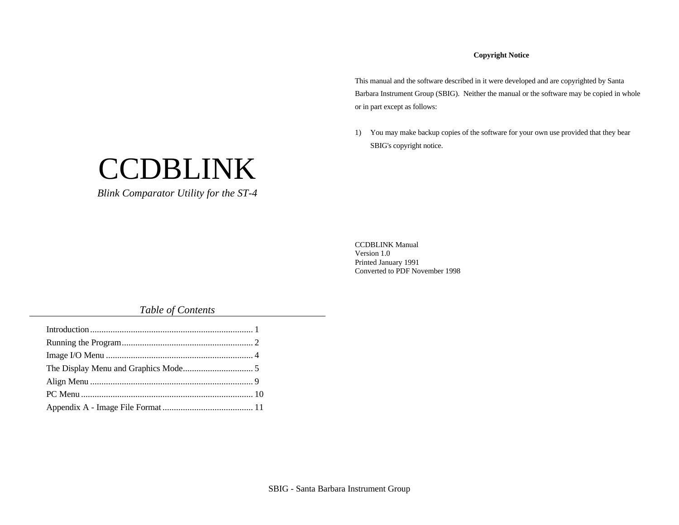### **Copyright Notice**

This manual and the software described in it were developed and are copyrighted by Santa Barbara Instrument Group (SBIG). Neither the manual or the software may be copied in whole or in part except as follows:

1) You may make backup copies of the software for your own use provided that they bear SBIG's copyright notice.

CCDBLINK Manual Version 1.0 Printed January 1991 Converted to PDF November 1998

*Table of Contents*

**CCDBLINK** 

*Blink Comparator Utility for the ST-4*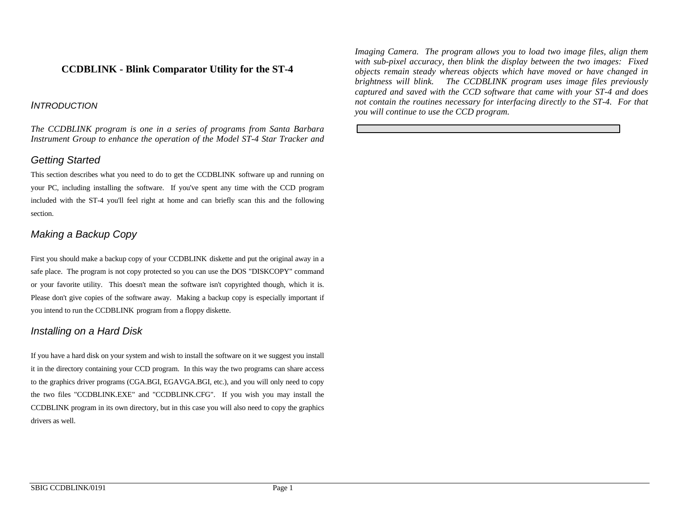# **CCDBLINK - Blink Comparator Utility for the ST-4**

### *INTRODUCTION*

*The CCDBLINK program is one in a series of programs from Santa Barbara Instrument Group to enhance the operation of the Model ST-4 Star Tracker and*

## *Getting Started*

This section describes what you need to do to get the CCDBLINK software up and running on your PC, including installing the software. If you've spent any time with the CCD program included with the ST-4 you'll feel right at home and can briefly scan this and the following section.

## *Making a Backup Copy*

First you should make a backup copy of your CCDBLINK diskette and put the original away in a safe place. The program is not copy protected so you can use the DOS "DISKCOPY" command or your favorite utility. This doesn't mean the software isn't copyrighted though, which it is. Please don't give copies of the software away. Making a backup copy is especially important if you intend to run the CCDBLINK program from a floppy diskette.

## *Installing on a Hard Disk*

If you have a hard disk on your system and wish to install the software on it we suggest you install it in the directory containing your CCD program. In this way the two programs can share access to the graphics driver programs (CGA.BGI, EGAVGA.BGI, etc.), and you will only need to copy the two files "CCDBLINK.EXE" and "CCDBLINK.CFG". If you wish you may install the CCDBLINK program in its own directory, but in this case you will also need to copy the graphics drivers as well.

*Imaging Camera. The program allows you to load two image files, align them with sub-pixel accuracy, then blink the display between the two images: Fixed objects remain steady whereas objects which have moved or have changed in brightness will blink. The CCDBLINK program uses image files previously captured and saved with the CCD software that came with your ST-4 and does not contain the routines necessary for interfacing directly to the ST-4. For that you will continue to use the CCD program.*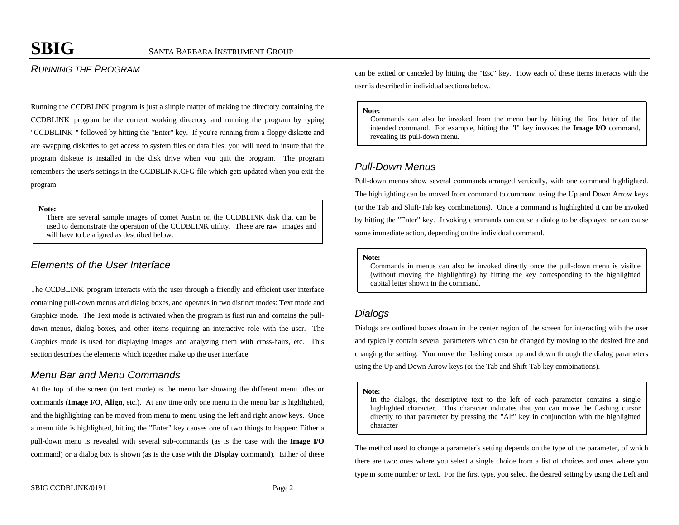# *RUNNING THE PROGRAM*

Running the CCDBLINK program is just a simple matter of making the directory containing the CCDBLINK program be the current working directory and running the program by typing "CCDBLINK " followed by hitting the "Enter" key. If you're running from a floppy diskette and are swapping diskettes to get access to system files or data files, you will need to insure that the program diskette is installed in the disk drive when you quit the program. The program remembers the user's settings in the CCDBLINK.CFG file which gets updated when you exit the program.

#### **Note:**

There are several sample images of comet Austin on the CCDBLINK disk that can be used to demonstrate the operation of the CCDBLINK utility. These are raw images and will have to be aligned as described below.

## *Elements of the User Interface*

The CCDBLINK program interacts with the user through a friendly and efficient user interface containing pull-down menus and dialog boxes, and operates in two distinct modes: Text mode and Graphics mode. The Text mode is activated when the program is first run and contains the pulldown menus, dialog boxes, and other items requiring an interactive role with the user. The Graphics mode is used for displaying images and analyzing them with cross-hairs, etc. This section describes the elements which together make up the user interface.

## *Menu Bar and Menu Commands*

At the top of the screen (in text mode) is the menu bar showing the different menu titles or commands (**Image I/O**, **Align**, etc.). At any time only one menu in the menu bar is highlighted, and the highlighting can be moved from menu to menu using the left and right arrow keys. Once a menu title is highlighted, hitting the "Enter" key causes one of two things to happen: Either a pull-down menu is revealed with several sub-commands (as is the case with the **Image I/O** command) or a dialog box is shown (as is the case with the **Display** command). Either of these can be exited or canceled by hitting the "Esc" key. How each of these items interacts with the user is described in individual sections below.

#### **Note:**

Commands can also be invoked from the menu bar by hitting the first letter of the intended command. For example, hitting the "I" key invokes the **Image I/O** command, revealing its pull-down menu.

## *Pull-Down Menus*

Pull-down menus show several commands arranged vertically, with one command highlighted. The highlighting can be moved from command to command using the Up and Down Arrow keys (or the Tab and Shift-Tab key combinations). Once a command is highlighted it can be invoked by hitting the "Enter" key. Invoking commands can cause a dialog to be displayed or can cause some immediate action, depending on the individual command.

#### **Note:**

Commands in menus can also be invoked directly once the pull-down menu is visible (without moving the highlighting) by hitting the key corresponding to the highlighted capital letter shown in the command.

### *Dialogs*

Dialogs are outlined boxes drawn in the center region of the screen for interacting with the user and typically contain several parameters which can be changed by moving to the desired line and changing the setting. You move the flashing cursor up and down through the dialog parameters using the Up and Down Arrow keys (or the Tab and Shift-Tab key combinations).

### **Note:**

In the dialogs, the descriptive text to the left of each parameter contains a single highlighted character. This character indicates that you can move the flashing cursor directly to that parameter by pressing the "Alt" key in conjunction with the highlighted character

The method used to change a parameter's setting depends on the type of the parameter, of which there are two: ones where you select a single choice from a list of choices and ones where you type in some number or text. For the first type, you select the desired setting by using the Left and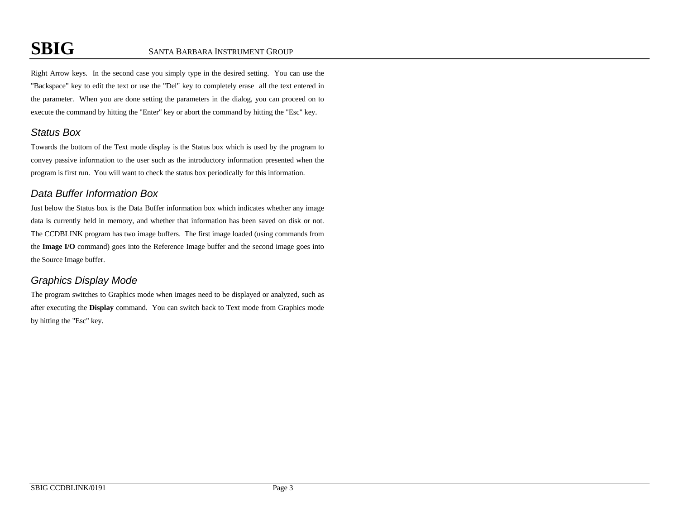Right Arrow keys. In the second case you simply type in the desired setting. You can use the "Backspace" key to edit the text or use the "Del" key to completely erase all the text entered in the parameter. When you are done setting the parameters in the dialog, you can proceed on to execute the command by hitting the "Enter" key or abort the command by hitting the "Esc" key.

# *Status Box*

Towards the bottom of the Text mode display is the Status box which is used by the program to convey passive information to the user such as the introductory information presented when the program is first run. You will want to check the status box periodically for this information.

# *Data Buffer Information Box*

Just below the Status box is the Data Buffer information box which indicates whether any image data is currently held in memory, and whether that information has been saved on disk or not. The CCDBLINK program has two image buffers. The first image loaded (using commands from the **Image I/O** command) goes into the Reference Image buffer and the second image goes into the Source Image buffer.

# *Graphics Display Mode*

The program switches to Graphics mode when images need to be displayed or analyzed, such as after executing the **Display** command. You can switch back to Text mode from Graphics mode by hitting the "Esc" key.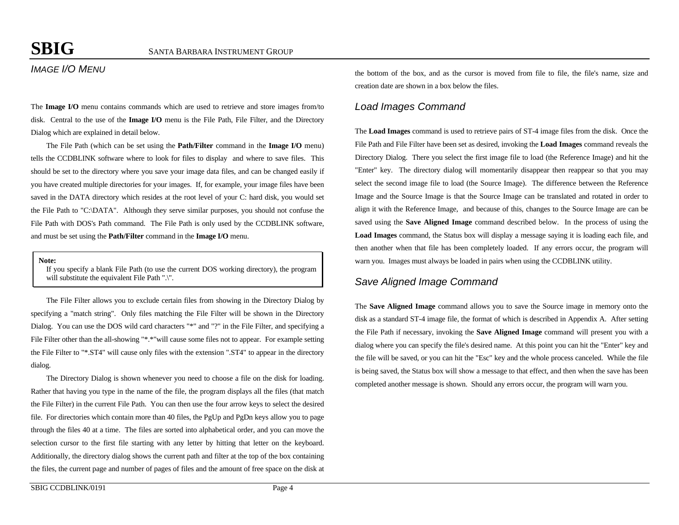# *IMAGE I/O MENU*

The **Image I/O** menu contains commands which are used to retrieve and store images from/to disk. Central to the use of the **Image I/O** menu is the File Path, File Filter, and the Directory Dialog which are explained in detail below.

The File Path (which can be set using the **Path/Filter** command in the **Image I/O** menu) tells the CCDBLINK software where to look for files to display and where to save files. This should be set to the directory where you save your image data files, and can be changed easily if you have created multiple directories for your images. If, for example, your image files have been saved in the DATA directory which resides at the root level of your C: hard disk, you would set the File Path to "C:\DATA". Although they serve similar purposes, you should not confuse the File Path with DOS's Path command. The File Path is only used by the CCDBLINK software, and must be set using the **Path/Filter** command in the **Image I/O** menu.

**Note:**

If you specify a blank File Path (to use the current DOS working directory), the program will substitute the equivalent File Path ".\".

The File Filter allows you to exclude certain files from showing in the Directory Dialog by specifying a "match string". Only files matching the File Filter will be shown in the Directory Dialog. You can use the DOS wild card characters "\*" and "?" in the File Filter, and specifying a File Filter other than the all-showing "\*.\*"will cause some files not to appear. For example setting the File Filter to "\*.ST4" will cause only files with the extension ".ST4" to appear in the directory dialog.

The Directory Dialog is shown whenever you need to choose a file on the disk for loading. Rather that having you type in the name of the file, the program displays all the files (that match the File Filter) in the current File Path. You can then use the four arrow keys to select the desired file. For directories which contain more than 40 files, the PgUp and PgDn keys allow you to page through the files 40 at a time. The files are sorted into alphabetical order, and you can move the selection cursor to the first file starting with any letter by hitting that letter on the keyboard. Additionally, the directory dialog shows the current path and filter at the top of the box containing the files, the current page and number of pages of files and the amount of free space on the disk at

the bottom of the box, and as the cursor is moved from file to file, the file's name, size and creation date are shown in a box below the files.

### *Load Images Command*

The **Load Images** command is used to retrieve pairs of ST-4 image files from the disk. Once the File Path and File Filter have been set as desired, invoking the **Load Images** command reveals the Directory Dialog. There you select the first image file to load (the Reference Image) and hit the "Enter" key. The directory dialog will momentarily disappear then reappear so that you may select the second image file to load (the Source Image). The difference between the Reference Image and the Source Image is that the Source Image can be translated and rotated in order to align it with the Reference Image, and because of this, changes to the Source Image are can be saved using the **Save Aligned Image** command described below. In the process of using the **Load Images** command, the Status box will display a message saying it is loading each file, and then another when that file has been completely loaded. If any errors occur, the program will warn you. Images must always be loaded in pairs when using the CCDBLINK utility.

## *Save Aligned Image Command*

The **Save Aligned Image** command allows you to save the Source image in memory onto the disk as a standard ST-4 image file, the format of which is described in Appendix A. After setting the File Path if necessary, invoking the **Save Aligned Image** command will present you with a dialog where you can specify the file's desired name. At this point you can hit the "Enter" key and the file will be saved, or you can hit the "Esc" key and the whole process canceled. While the file is being saved, the Status box will show a message to that effect, and then when the save has been completed another message is shown. Should any errors occur, the program will warn you.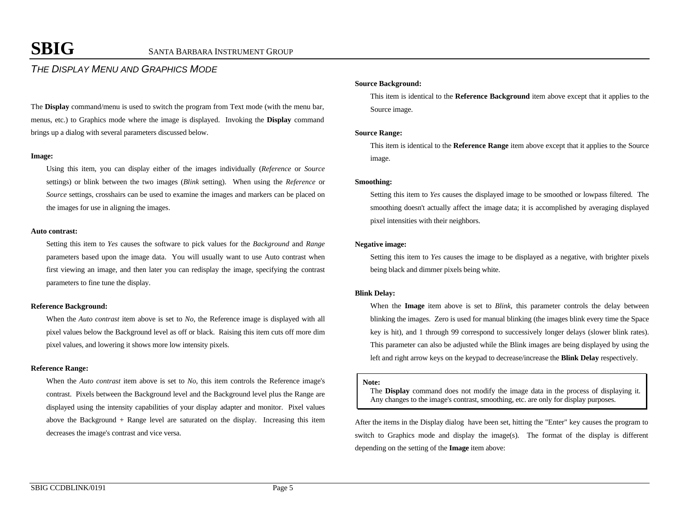# *THE DISPLAY MENU AND GRAPHICS MODE*

The **Display** command/menu is used to switch the program from Text mode (with the menu bar, menus, etc.) to Graphics mode where the image is displayed. Invoking the **Display** command brings up a dialog with several parameters discussed below.

#### **Image:**

Using this item, you can display either of the images individually (*Reference* or *Source* settings) or blink between the two images (*Blink* setting). When using the *Reference* or *Source* settings, crosshairs can be used to examine the images and markers can be placed on the images for use in aligning the images.

#### **Auto contrast:**

Setting this item to *Yes* causes the software to pick values for the *Background* and *Range* parameters based upon the image data. You will usually want to use Auto contrast when first viewing an image, and then later you can redisplay the image, specifying the contrast parameters to fine tune the display.

#### **Reference Background:**

When the *Auto contrast* item above is set to *No*, the Reference image is displayed with all pixel values below the Background level as off or black. Raising this item cuts off more dim pixel values, and lowering it shows more low intensity pixels.

### **Reference Range:**

When the *Auto contrast* item above is set to *No*, this item controls the Reference image's contrast. Pixels between the Background level and the Background level plus the Range are displayed using the intensity capabilities of your display adapter and monitor. Pixel values above the Background  $+$  Range level are saturated on the display. Increasing this item decreases the image's contrast and vice versa.

#### **Source Background:**

This item is identical to the **Reference Background** item above except that it applies to the Source image.

#### **Source Range:**

This item is identical to the **Reference Range** item above except that it applies to the Source image.

#### **Smoothing:**

Setting this item to *Yes* causes the displayed image to be smoothed or lowpass filtered. The smoothing doesn't actually affect the image data; it is accomplished by averaging displayed pixel intensities with their neighbors.

#### **Negative image:**

Setting this item to *Yes* causes the image to be displayed as a negative, with brighter pixels being black and dimmer pixels being white.

#### **Blink Delay:**

When the **Image** item above is set to *Blink*, this parameter controls the delay between blinking the images. Zero is used for manual blinking (the images blink every time the Space key is hit), and 1 through 99 correspond to successively longer delays (slower blink rates). This parameter can also be adjusted while the Blink images are being displayed by using the left and right arrow keys on the keypad to decrease/increase the **Blink Delay** respectively.

#### **Note:**

The **Display** command does not modify the image data in the process of displaying it. Any changes to the image's contrast, smoothing, etc. are only for display purposes.

After the items in the Display dialog have been set, hitting the "Enter" key causes the program to switch to Graphics mode and display the image(s). The format of the display is different depending on the setting of the **Image** item above: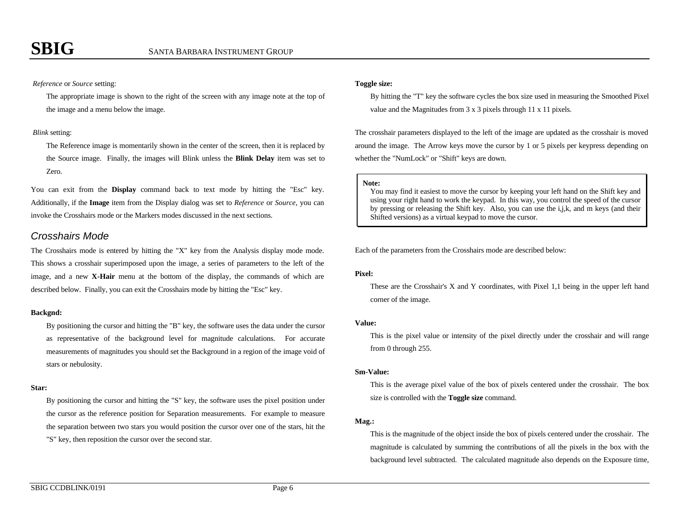### *Reference* or *Source* setting:

The appropriate image is shown to the right of the screen with any image note at the top of the image and a menu below the image.

#### *Blink* setting:

The Reference image is momentarily shown in the center of the screen, then it is replaced by the Source image. Finally, the images will Blink unless the **Blink Delay** item was set to Zero.

You can exit from the **Display** command back to text mode by hitting the "Esc" key. Additionally, if the **Image** item from the Display dialog was set to *Reference* or *Source*, you can invoke the Crosshairs mode or the Markers modes discussed in the next sections.

### *Crosshairs Mode*

The Crosshairs mode is entered by hitting the "X" key from the Analysis display mode mode. This shows a crosshair superimposed upon the image, a series of parameters to the left of the image, and a new **X-Hair** menu at the bottom of the display, the commands of which are described below. Finally, you can exit the Crosshairs mode by hitting the "Esc" key.

#### **Backgnd:**

By positioning the cursor and hitting the "B" key, the software uses the data under the cursor as representative of the background level for magnitude calculations. For accurate measurements of magnitudes you should set the Background in a region of the image void of stars or nebulosity.

#### **Star:**

By positioning the cursor and hitting the "S" key, the software uses the pixel position under the cursor as the reference position for Separation measurements. For example to measure the separation between two stars you would position the cursor over one of the stars, hit the "S" key, then reposition the cursor over the second star.

#### **Toggle size:**

By hitting the "T" key the software cycles the box size used in measuring the Smoothed Pixel value and the Magnitudes from 3 x 3 pixels through 11 x 11 pixels.

The crosshair parameters displayed to the left of the image are updated as the crosshair is moved around the image. The Arrow keys move the cursor by 1 or 5 pixels per keypress depending on whether the "NumLock" or "Shift" keys are down.

#### **Note:**

You may find it easiest to move the cursor by keeping your left hand on the Shift key and using your right hand to work the keypad. In this way, you control the speed of the cursor by pressing or releasing the Shift key. Also, you can use the i,j,k, and m keys (and their Shifted versions) as a virtual keypad to move the cursor.

Each of the parameters from the Crosshairs mode are described below:

### **Pixel:**

These are the Crosshair's X and Y coordinates, with Pixel 1,1 being in the upper left hand corner of the image.

#### **Value:**

This is the pixel value or intensity of the pixel directly under the crosshair and will range from 0 through 255.

#### **Sm-Value:**

This is the average pixel value of the box of pixels centered under the crosshair. The box size is controlled with the **Toggle size** command.

#### **Mag.:**

This is the magnitude of the object inside the box of pixels centered under the crosshair. The magnitude is calculated by summing the contributions of all the pixels in the box with the background level subtracted. The calculated magnitude also depends on the Exposure time,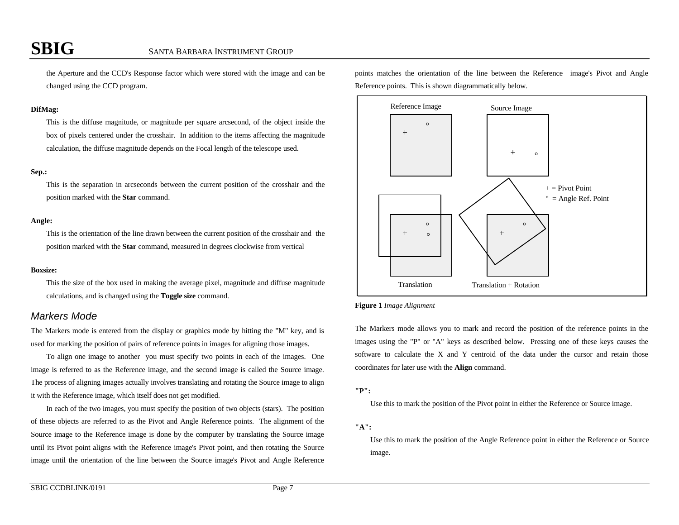the Aperture and the CCD's Response factor which were stored with the image and can be changed using the CCD program.

#### **DifMag:**

This is the diffuse magnitude, or magnitude per square arcsecond, of the object inside the box of pixels centered under the crosshair. In addition to the items affecting the magnitude calculation, the diffuse magnitude depends on the Focal length of the telescope used.

#### **Sep.:**

This is the separation in arcseconds between the current position of the crosshair and the position marked with the **Star** command.

#### **Angle:**

This is the orientation of the line drawn between the current position of the crosshair and the position marked with the **Star** command, measured in degrees clockwise from vertical

#### **Boxsize:**

This the size of the box used in making the average pixel, magnitude and diffuse magnitude calculations, and is changed using the **Toggle size** command.

### *Markers Mode*

The Markers mode is entered from the display or graphics mode by hitting the "M" key, and is used for marking the position of pairs of reference points in images for aligning those images.

To align one image to another you must specify two points in each of the images. One image is referred to as the Reference image, and the second image is called the Source image. The process of aligning images actually involves translating and rotating the Source image to align it with the Reference image, which itself does not get modified.

In each of the two images, you must specify the position of two objects (stars). The position of these objects are referred to as the Pivot and Angle Reference points. The alignment of the Source image to the Reference image is done by the computer by translating the Source image until its Pivot point aligns with the Reference image's Pivot point, and then rotating the Source image until the orientation of the line between the Source image's Pivot and Angle Reference points matches the orientation of the line between the Reference image's Pivot and Angle Reference points. This is shown diagrammatically below.



**Figure 1** *Image Alignment*

The Markers mode allows you to mark and record the position of the reference points in the images using the "P" or "A" keys as described below. Pressing one of these keys causes the software to calculate the X and Y centroid of the data under the cursor and retain those coordinates for later use with the **Align** command.

### **"P":**

Use this to mark the position of the Pivot point in either the Reference or Source image.

### **"A":**

Use this to mark the position of the Angle Reference point in either the Reference or Source image.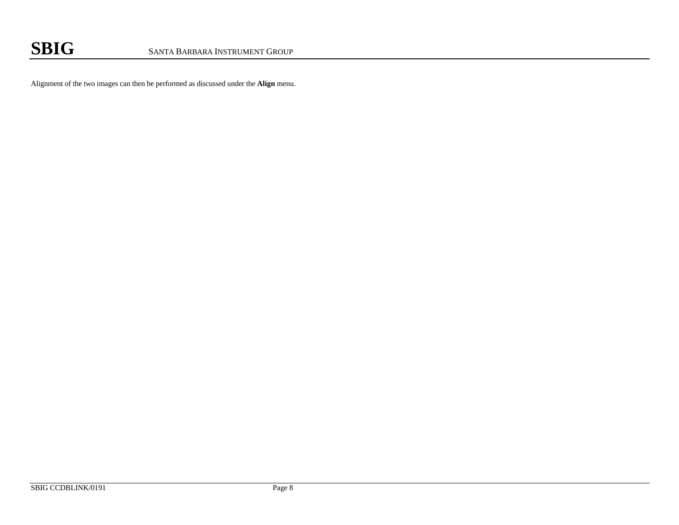Alignment of the two images can then be performed as discussed under the **Align** menu.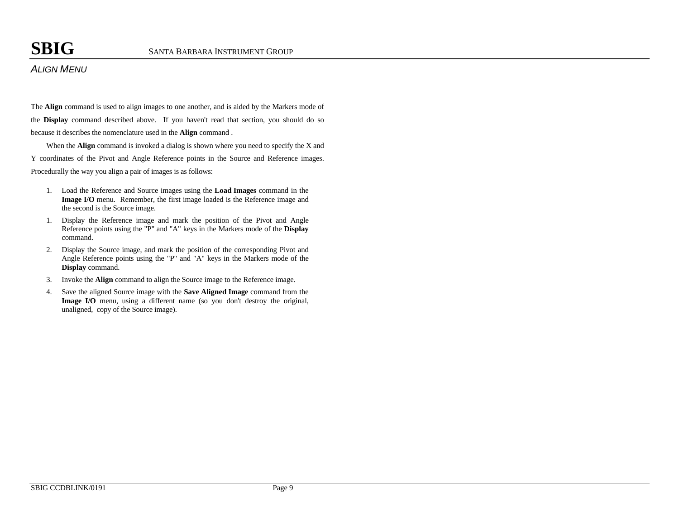# *ALIGN MENU*

The **Align** command is used to align images to one another, and is aided by the Markers mode of the **Display** command described above. If you haven't read that section, you should do so because it describes the nomenclature used in the **Align** command .

When the **Align** command is invoked a dialog is shown where you need to specify the X and Y coordinates of the Pivot and Angle Reference points in the Source and Reference images. Procedurally the way you align a pair of images is as follows:

- 1. Load the Reference and Source images using the **Load Images** command in the **Image I/O** menu. Remember, the first image loaded is the Reference image and the second is the Source image.
- 1. Display the Reference image and mark the position of the Pivot and Angle Reference points using the "P" and "A" keys in the Markers mode of the **Display** command.
- 2. Display the Source image, and mark the position of the corresponding Pivot and Angle Reference points using the "P" and "A" keys in the Markers mode of the **Display** command.
- 3. Invoke the **Align** command to align the Source image to the Reference image.
- 4. Save the aligned Source image with the **Save Aligned Image** command from the **Image I/O** menu, using a different name (so you don't destroy the original, unaligned, copy of the Source image).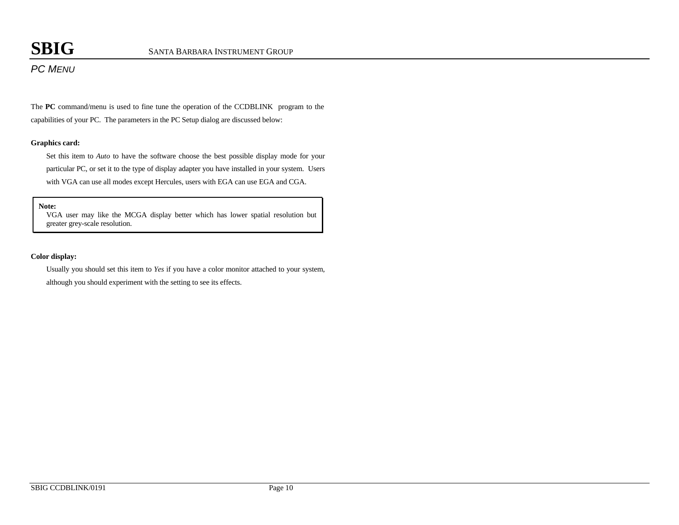# *PC MENU*

The **PC** command/menu is used to fine tune the operation of the CCDBLINK program to the capabilities of your PC. The parameters in the PC Setup dialog are discussed below:

### **Graphics card:**

Set this item to *Auto* to have the software choose the best possible display mode for your particular PC, or set it to the type of display adapter you have installed in your system. Users with VGA can use all modes except Hercules, users with EGA can use EGA and CGA.

#### **Note:**

VGA user may like the MCGA display better which has lower spatial resolution but greater grey-scale resolution.

### **Color display:**

Usually you should set this item to *Yes* if you have a color monitor attached to your system, although you should experiment with the setting to see its effects.